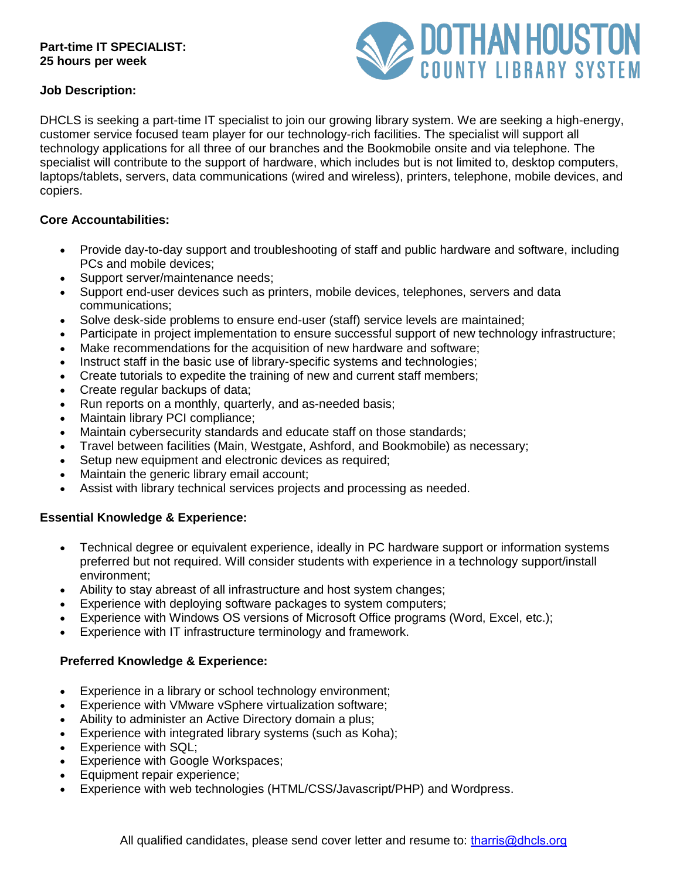### **Part-time IT SPECIALIST: 25 hours per week**



### **Job Description:**

DHCLS is seeking a part-time IT specialist to join our growing library system. We are seeking a high-energy, customer service focused team player for our technology-rich facilities. The specialist will support all technology applications for all three of our branches and the Bookmobile onsite and via telephone. The specialist will contribute to the support of hardware, which includes but is not limited to, desktop computers, laptops/tablets, servers, data communications (wired and wireless), printers, telephone, mobile devices, and copiers.

# **Core Accountabilities:**

- Provide day-to-day support and troubleshooting of staff and public hardware and software, including PCs and mobile devices;
- Support server/maintenance needs;
- Support end-user devices such as printers, mobile devices, telephones, servers and data communications;
- Solve desk-side problems to ensure end-user (staff) service levels are maintained;
- Participate in project implementation to ensure successful support of new technology infrastructure;
- Make recommendations for the acquisition of new hardware and software;
- Instruct staff in the basic use of library-specific systems and technologies;
- Create tutorials to expedite the training of new and current staff members;
- Create regular backups of data;
- Run reports on a monthly, quarterly, and as-needed basis;
- Maintain library PCI compliance;
- Maintain cybersecurity standards and educate staff on those standards;
- Travel between facilities (Main, Westgate, Ashford, and Bookmobile) as necessary;
- Setup new equipment and electronic devices as required;
- Maintain the generic library email account;
- Assist with library technical services projects and processing as needed.

### **Essential Knowledge & Experience:**

- Technical degree or equivalent experience, ideally in PC hardware support or information systems preferred but not required. Will consider students with experience in a technology support/install environment;
- Ability to stay abreast of all infrastructure and host system changes;
- Experience with deploying software packages to system computers;
- Experience with Windows OS versions of Microsoft Office programs (Word, Excel, etc.);
- Experience with IT infrastructure terminology and framework.

### **Preferred Knowledge & Experience:**

- Experience in a library or school technology environment;
- Experience with VMware vSphere virtualization software;
- Ability to administer an Active Directory domain a plus;
- Experience with integrated library systems (such as Koha);
- Experience with SQL;
- Experience with Google Workspaces;
- Equipment repair experience;
- Experience with web technologies (HTML/CSS/Javascript/PHP) and Wordpress.